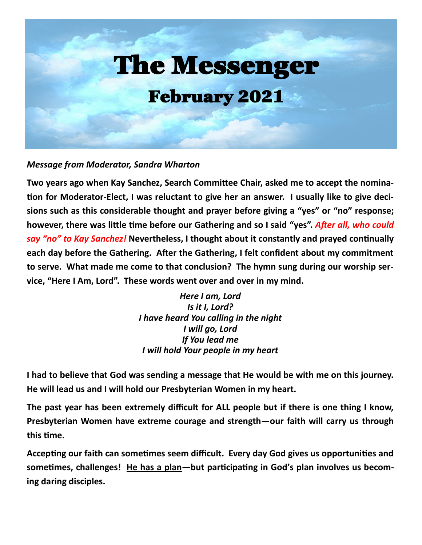

#### *Message from Moderator, Sandra Wharton*

**Two years ago when Kay Sanchez, Search Committee Chair, asked me to accept the nomination for Moderator-Elect, I was reluctant to give her an answer. I usually like to give decisions such as this considerable thought and prayer before giving a "yes" or "no" response; however, there was little time before our Gathering and so I said "yes".** *After all, who could say "no" to Kay Sanchez!* **Nevertheless, I thought about it constantly and prayed continually each day before the Gathering. After the Gathering, I felt confident about my commitment to serve. What made me come to that conclusion? The hymn sung during our worship service, "Here I Am, Lord". These words went over and over in my mind.**

> *Here I am, Lord Is it I, Lord? I have heard You calling in the night I will go, Lord If You lead me I will hold Your people in my heart*

**I had to believe that God was sending a message that He would be with me on this journey. He will lead us and I will hold our Presbyterian Women in my heart.**

**The past year has been extremely difficult for ALL people but if there is one thing I know, Presbyterian Women have extreme courage and strength—our faith will carry us through this time.**

**Accepting our faith can sometimes seem difficult. Every day God gives us opportunities and sometimes, challenges! He has a plan—but participating in God's plan involves us becoming daring disciples.**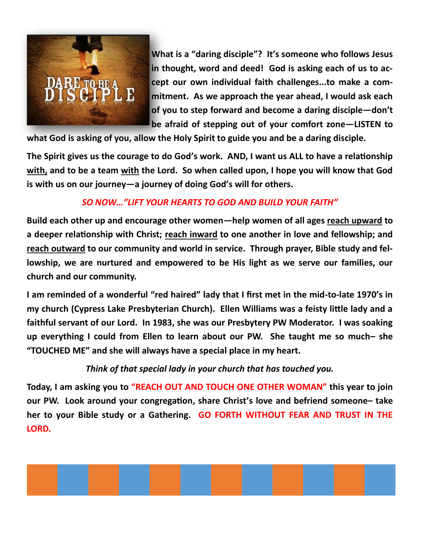

**What is a "daring disciple"? It's someone who follows Jesus in thought, word and deed! God is asking each of us to accept our own individual faith challenges...to make a commitment. As we approach the year ahead, I would ask each of you to step forward and become a daring disciple—don't be afraid of stepping out of your comfort zone—LISTEN to** 

**what God is asking of you, allow the Holy Spirit to guide you and be a daring disciple.**

**The Spirit gives us the courage to do God's work. AND, I want us ALL to have a relationship with, and to be a team with the Lord. So when called upon, I hope you will know that God is with us on our journey—a journey of doing God's will for others.**

# *SO NOW…"LIFT YOUR HEARTS TO GOD AND BUILD YOUR FAITH"*

**Build each other up and encourage other women—help women of all ages reach upward to a deeper relationship with Christ; reach inward to one another in love and fellowship; and reach outward to our community and world in service. Through prayer, Bible study and fellowship, we are nurtured and empowered to be His light as we serve our families, our church and our community.**

**I am reminded of a wonderful "red haired" lady that I first met in the mid-to-late 1970's in my church (Cypress Lake Presbyterian Church). Ellen Williams was a feisty little lady and a faithful servant of our Lord. In 1983, she was our Presbytery PW Moderator. I was soaking up everything I could from Ellen to learn about our PW. She taught me so much– she "TOUCHED ME" and she will always have a special place in my heart.**

*Think of that special lady in your church that has touched you.*

**Today, I am asking you to "REACH OUT AND TOUCH ONE OTHER WOMAN" this year to join our PW. Look around your congregation, share Christ's love and befriend someone– take her to your Bible study or a Gathering. GO FORTH WITHOUT FEAR AND TRUST IN THE LORD.**

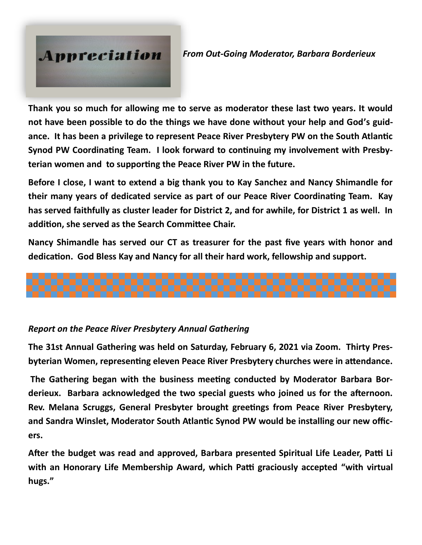# Appreciation

*From Out-Going Moderator, Barbara Borderieux*

**Thank you so much for allowing me to serve as moderator these last two years. It would not have been possible to do the things we have done without your help and God's guidance. It has been a privilege to represent Peace River Presbytery PW on the South Atlantic Synod PW Coordinating Team. I look forward to continuing my involvement with Presbyterian women and to supporting the Peace River PW in the future.**

**Before I close, I want to extend a big thank you to Kay Sanchez and Nancy Shimandle for their many years of dedicated service as part of our Peace River Coordinating Team. Kay has served faithfully as cluster leader for District 2, and for awhile, for District 1 as well. In addition, she served as the Search Committee Chair.**

**Nancy Shimandle has served our CT as treasurer for the past five years with honor and dedication. God Bless Kay and Nancy for all their hard work, fellowship and support.**



# *Report on the Peace River Presbytery Annual Gathering*

**The 31st Annual Gathering was held on Saturday, February 6, 2021 via Zoom. Thirty Presbyterian Women, representing eleven Peace River Presbytery churches were in attendance.** 

**The Gathering began with the business meeting conducted by Moderator Barbara Borderieux. Barbara acknowledged the two special guests who joined us for the afternoon. Rev. Melana Scruggs, General Presbyter brought greetings from Peace River Presbytery, and Sandra Winslet, Moderator South Atlantic Synod PW would be installing our new officers.** 

**After the budget was read and approved, Barbara presented Spiritual Life Leader, Patti Li with an Honorary Life Membership Award, which Patti graciously accepted "with virtual hugs."**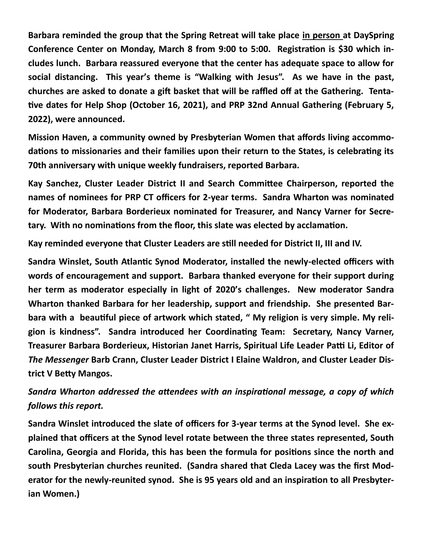**Barbara reminded the group that the Spring Retreat will take place in person at DaySpring Conference Center on Monday, March 8 from 9:00 to 5:00. Registration is \$30 which includes lunch. Barbara reassured everyone that the center has adequate space to allow for social distancing. This year's theme is "Walking with Jesus". As we have in the past, churches are asked to donate a gift basket that will be raffled off at the Gathering. Tentative dates for Help Shop (October 16, 2021), and PRP 32nd Annual Gathering (February 5, 2022), were announced.**

**Mission Haven, a community owned by Presbyterian Women that affords living accommodations to missionaries and their families upon their return to the States, is celebrating its 70th anniversary with unique weekly fundraisers, reported Barbara.**

**Kay Sanchez, Cluster Leader District II and Search Committee Chairperson, reported the names of nominees for PRP CT officers for 2-year terms. Sandra Wharton was nominated for Moderator, Barbara Borderieux nominated for Treasurer, and Nancy Varner for Secretary. With no nominations from the floor, this slate was elected by acclamation.**

**Kay reminded everyone that Cluster Leaders are still needed for District II, III and IV.**

**Sandra Winslet, South Atlantic Synod Moderator, installed the newly-elected officers with words of encouragement and support. Barbara thanked everyone for their support during her term as moderator especially in light of 2020's challenges. New moderator Sandra Wharton thanked Barbara for her leadership, support and friendship. She presented Barbara with a beautiful piece of artwork which stated, " My religion is very simple. My religion is kindness". Sandra introduced her Coordinating Team: Secretary, Nancy Varner, Treasurer Barbara Borderieux, Historian Janet Harris, Spiritual Life Leader Patti Li, Editor of**  *The Messenger* **Barb Crann, Cluster Leader District I Elaine Waldron, and Cluster Leader District V Betty Mangos.**

*Sandra Wharton addressed the attendees with an inspirational message, a copy of which follows this report.*

**Sandra Winslet introduced the slate of officers for 3-year terms at the Synod level. She explained that officers at the Synod level rotate between the three states represented, South Carolina, Georgia and Florida, this has been the formula for positions since the north and south Presbyterian churches reunited. (Sandra shared that Cleda Lacey was the first Moderator for the newly-reunited synod. She is 95 years old and an inspiration to all Presbyterian Women.)**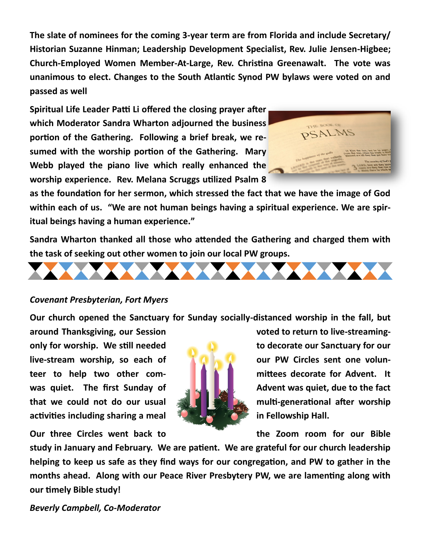**The slate of nominees for the coming 3-year term are from Florida and include Secretary/ Historian Suzanne Hinman; Leadership Development Specialist, Rev. Julie Jensen-Higbee; Church-Employed Women Member-At-Large, Rev. Christina Greenawalt. The vote was unanimous to elect. Changes to the South Atlantic Synod PW bylaws were voted on and passed as well**

**Spiritual Life Leader Patti Li offered the closing prayer after which Moderator Sandra Wharton adjourned the business portion of the Gathering. Following a brief break, we resumed with the worship portion of the Gathering. Mary Webb played the piano live which really enhanced the worship experience. Rev. Melana Scruggs utilized Psalm 8** 



**as the foundation for her sermon, which stressed the fact that we have the image of God within each of us. "We are not human beings having a spiritual experience. We are spiritual beings having a human experience."** 

**Sandra Wharton thanked all those who attended the Gathering and charged them with the task of seeking out other women to join our local PW groups.** 



#### *Covenant Presbyterian, Fort Myers*

**Our church opened the Sanctuary for Sunday socially-distanced worship in the fall, but** 

**around Thanksgiving, our Session** voted to return to live-streaming**only for worship. We still needed to decorate our Sanctuary for our** live-stream worship, so each of **the definition of the cour PW Circles sent one volunteer to help two other com- mittees decorate for Advent. It was quiet.** The first Sunday of **Advent was quiet, due to the fact that we could not do our usual All Limitian multi-generational after worship activities including sharing a meal in Fellowship Hall.**

**Our three Circles went back to the Zoom room for our Bible** 



**study in January and February. We are patient. We are grateful for our church leadership helping to keep us safe as they find ways for our congregation, and PW to gather in the months ahead. Along with our Peace River Presbytery PW, we are lamenting along with our timely Bible study!**

*Beverly Campbell, Co-Moderator*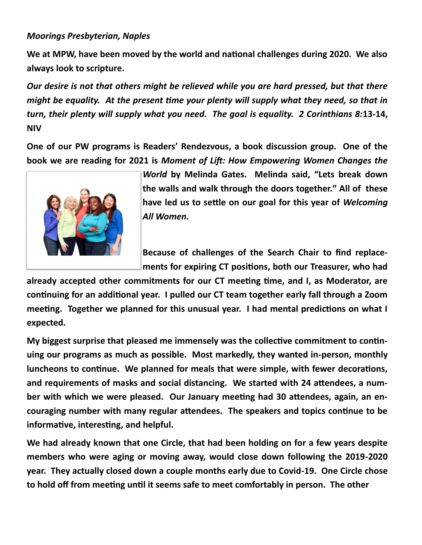#### *Moorings Presbyterian, Naples*

**We at MPW, have been moved by the world and national challenges during 2020. We also always look to scripture.**

*Our desire is not that others might be relieved while you are hard pressed, but that there might be equality. At the present time your plenty will supply what they need, so that in turn, their plenty will supply what you need. The goal is equality. 2 Corinthians 8:***13-14, NIV**

**One of our PW programs is Readers' Rendezvous, a book discussion group. One of the book we are reading for 2021 is** *Moment of Lift: How Empowering Women Changes the* 



*World* **by Melinda Gates. Melinda said, "Lets break down the walls and walk through the doors together." All of these have led us to settle on our goal for this year of** *Welcoming All Women.*

**Because of challenges of the Search Chair to find replacements for expiring CT positions, both our Treasurer, who had** 

**already accepted other commitments for our CT meeting time, and I, as Moderator, are continuing for an additional year. I pulled our CT team together early fall through a Zoom meeting. Together we planned for this unusual year. I had mental predictions on what I expected.**

**My biggest surprise that pleased me immensely was the collective commitment to continuing our programs as much as possible. Most markedly, they wanted in-person, monthly luncheons to continue. We planned for meals that were simple, with fewer decorations, and requirements of masks and social distancing. We started with 24 attendees, a number with which we were pleased. Our January meeting had 30 attendees, again, an encouraging number with many regular attendees. The speakers and topics continue to be informative, interesting, and helpful.**

**We had already known that one Circle, that had been holding on for a few years despite members who were aging or moving away, would close down following the 2019-2020 year. They actually closed down a couple months early due to Covid-19. One Circle chose to hold off from meeting until it seems safe to meet comfortably in person. The other**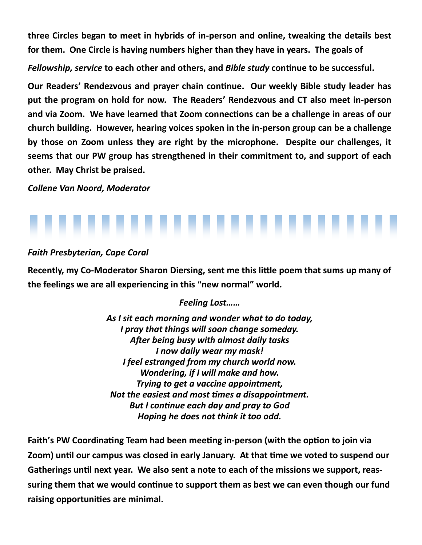**three Circles began to meet in hybrids of in-person and online, tweaking the details best for them. One Circle is having numbers higher than they have in years. The goals of**

*Fellowship, service* **to each other and others, and** *Bible study* **continue to be successful.**

**Our Readers' Rendezvous and prayer chain continue. Our weekly Bible study leader has put the program on hold for now. The Readers' Rendezvous and CT also meet in-person and via Zoom. We have learned that Zoom connections can be a challenge in areas of our church building. However, hearing voices spoken in the in-person group can be a challenge by those on Zoom unless they are right by the microphone. Despite our challenges, it seems that our PW group has strengthened in their commitment to, and support of each other. May Christ be praised.**

*Collene Van Noord, Moderator*



### *Faith Presbyterian, Cape Coral*

**Recently, my Co-Moderator Sharon Diersing, sent me this little poem that sums up many of the feelings we are all experiencing in this "new normal" world.**

# *Feeling Lost……*

*As I sit each morning and wonder what to do today, I pray that things will soon change someday. After being busy with almost daily tasks I now daily wear my mask! I feel estranged from my church world now. Wondering, if I will make and how. Trying to get a vaccine appointment, Not the easiest and most times a disappointment. But I continue each day and pray to God Hoping he does not think it too odd.*

**Faith's PW Coordinating Team had been meeting in-person (with the option to join via Zoom) until our campus was closed in early January. At that time we voted to suspend our Gatherings until next year. We also sent a note to each of the missions we support, reassuring them that we would continue to support them as best we can even though our fund raising opportunities are minimal.**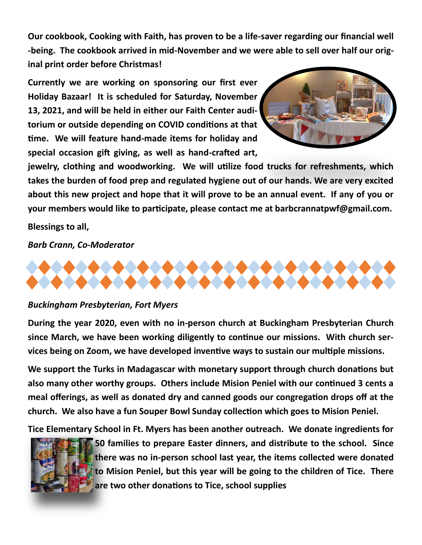**Our cookbook, Cooking with Faith, has proven to be a life-saver regarding our financial well -being. The cookbook arrived in mid-November and we were able to sell over half our original print order before Christmas!** 

**Currently we are working on sponsoring our first ever Holiday Bazaar! It is scheduled for Saturday, November 13, 2021, and will be held in either our Faith Center auditorium or outside depending on COVID conditions at that time. We will feature hand-made items for holiday and special occasion gift giving, as well as hand-crafted art,** 



**jewelry, clothing and woodworking. We will utilize food trucks for refreshments, which takes the burden of food prep and regulated hygiene out of our hands. We are very excited about this new project and hope that it will prove to be an annual event. If any of you or your members would like to participate, please contact me at barbcrannatpwf@gmail.com.**

**Blessings to all,**

*Barb Crann, Co-Moderator*



#### *Buckingham Presbyterian, Fort Myers*

**During the year 2020, even with no in-person church at Buckingham Presbyterian Church since March, we have been working diligently to continue our missions. With church services being on Zoom, we have developed inventive ways to sustain our multiple missions.**

**We support the Turks in Madagascar with monetary support through church donations but also many other worthy groups. Others include Mision Peniel with our continued 3 cents a meal offerings, as well as donated dry and canned goods our congregation drops off at the church. We also have a fun Souper Bowl Sunday collection which goes to Mision Peniel.**

**Tice Elementary School in Ft. Myers has been another outreach. We donate ingredients for** 



**50 families to prepare Easter dinners, and distribute to the school. Since there was no in-person school last year, the items collected were donated to Mision Peniel, but this year will be going to the children of Tice. There are two other donations to Tice, school supplies**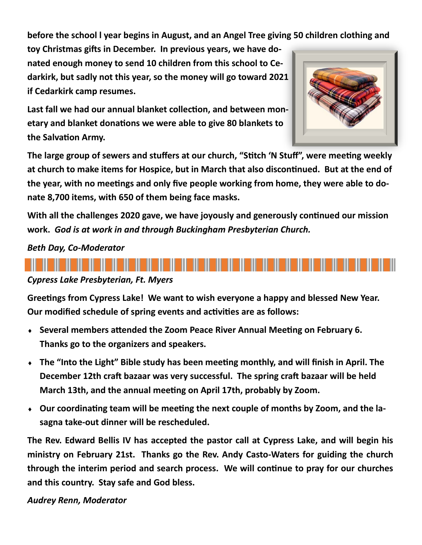**before the school l year begins in August, and an Angel Tree giving 50 children clothing and** 

**toy Christmas gifts in December. In previous years, we have donated enough money to send 10 children from this school to Cedarkirk, but sadly not this year, so the money will go toward 2021 if Cedarkirk camp resumes.**

**Last fall we had our annual blanket collection, and between monetary and blanket donations we were able to give 80 blankets to the Salvation Army.**

**The large group of sewers and stuffers at our church, "Stitch 'N Stuff", were meeting weekly at church to make items for Hospice, but in March that also discontinued. But at the end of the year, with no meetings and only five people working from home, they were able to donate 8,700 items, with 650 of them being face masks.**

**With all the challenges 2020 gave, we have joyously and generously continued our mission work.** *God is at work in and through Buckingham Presbyterian Church.*

### *Beth Day, Co-Moderator*



#### *Cypress Lake Presbyterian, Ft. Myers*

**Greetings from Cypress Lake! We want to wish everyone a happy and blessed New Year. Our modified schedule of spring events and activities are as follows:**

- **Several members attended the Zoom Peace River Annual Meeting on February 6. Thanks go to the organizers and speakers.**
- **The "Into the Light" Bible study has been meeting monthly, and will finish in April. The December 12th craft bazaar was very successful. The spring craft bazaar will be held March 13th, and the annual meeting on April 17th, probably by Zoom.**
- **Our coordinating team will be meeting the next couple of months by Zoom, and the lasagna take-out dinner will be rescheduled.**

**The Rev. Edward Bellis IV has accepted the pastor call at Cypress Lake, and will begin his ministry on February 21st. Thanks go the Rev. Andy Casto-Waters for guiding the church through the interim period and search process. We will continue to pray for our churches and this country. Stay safe and God bless.**

#### *Audrey Renn, Moderator*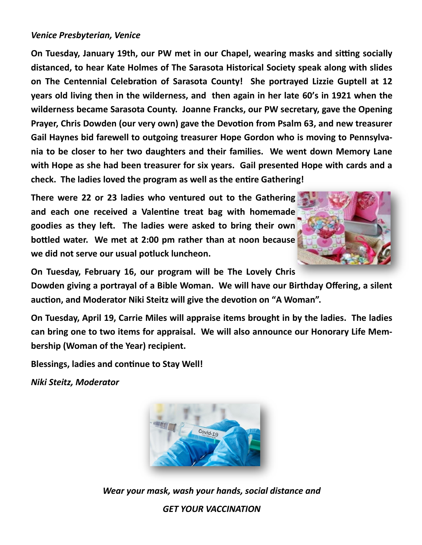#### *Venice Presbyterian, Venice*

**On Tuesday, January 19th, our PW met in our Chapel, wearing masks and sitting socially distanced, to hear Kate Holmes of The Sarasota Historical Society speak along with slides on The Centennial Celebration of Sarasota County! She portrayed Lizzie Guptell at 12 years old living then in the wilderness, and then again in her late 60's in 1921 when the wilderness became Sarasota County. Joanne Francks, our PW secretary, gave the Opening Prayer, Chris Dowden (our very own) gave the Devotion from Psalm 63, and new treasurer Gail Haynes bid farewell to outgoing treasurer Hope Gordon who is moving to Pennsylvania to be closer to her two daughters and their families. We went down Memory Lane with Hope as she had been treasurer for six years. Gail presented Hope with cards and a check. The ladies loved the program as well as the entire Gathering!**

**There were 22 or 23 ladies who ventured out to the Gathering and each one received a Valentine treat bag with homemade goodies as they left. The ladies were asked to bring their own bottled water. We met at 2:00 pm rather than at noon because we did not serve our usual potluck luncheon.**



**On Tuesday, February 16, our program will be The Lovely Chris** 

**Dowden giving a portrayal of a Bible Woman. We will have our Birthday Offering, a silent auction, and Moderator Niki Steitz will give the devotion on "A Woman".**

**On Tuesday, April 19, Carrie Miles will appraise items brought in by the ladies. The ladies can bring one to two items for appraisal. We will also announce our Honorary Life Membership (Woman of the Year) recipient.**

**Blessings, ladies and continue to Stay Well!**

*Niki Steitz, Moderator*



*Wear your mask, wash your hands, social distance and GET YOUR VACCINATION*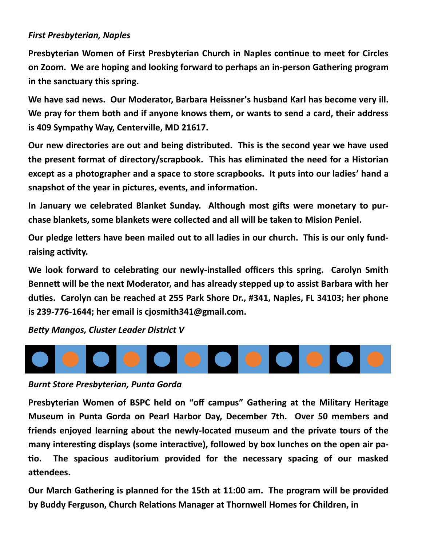#### *First Presbyterian, Naples*

**Presbyterian Women of First Presbyterian Church in Naples continue to meet for Circles on Zoom. We are hoping and looking forward to perhaps an in-person Gathering program in the sanctuary this spring.**

**We have sad news. Our Moderator, Barbara Heissner's husband Karl has become very ill. We pray for them both and if anyone knows them, or wants to send a card, their address is 409 Sympathy Way, Centerville, MD 21617.**

**Our new directories are out and being distributed. This is the second year we have used the present format of directory/scrapbook. This has eliminated the need for a Historian except as a photographer and a space to store scrapbooks. It puts into our ladies' hand a snapshot of the year in pictures, events, and information.**

**In January we celebrated Blanket Sunday. Although most gifts were monetary to purchase blankets, some blankets were collected and all will be taken to Mision Peniel.**

**Our pledge letters have been mailed out to all ladies in our church. This is our only fundraising activity.**

**We look forward to celebrating our newly-installed officers this spring. Carolyn Smith Bennett will be the next Moderator, and has already stepped up to assist Barbara with her duties. Carolyn can be reached at 255 Park Shore Dr., #341, Naples, FL 34103; her phone is 239-776-1644; her email is cjosmith341@gmail.com.**

*Betty Mangos, Cluster Leader District V*



#### *Burnt Store Presbyterian, Punta Gorda*

**Presbyterian Women of BSPC held on "off campus" Gathering at the Military Heritage Museum in Punta Gorda on Pearl Harbor Day, December 7th. Over 50 members and friends enjoyed learning about the newly-located museum and the private tours of the many interesting displays (some interactive), followed by box lunches on the open air patio. The spacious auditorium provided for the necessary spacing of our masked attendees.**

**Our March Gathering is planned for the 15th at 11:00 am. The program will be provided by Buddy Ferguson, Church Relations Manager at Thornwell Homes for Children, in**